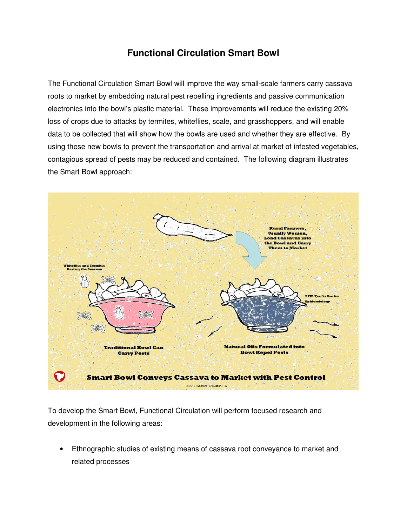## **Functional Circulation Smart Bowl**

The Functional Circulation Smart Bowl will improve the way small-scale farmers carry cassava roots to market by embedding natural pest repelling ingredients and passive communication electronics into the bowl's plastic material. These improvements will reduce the existing 20% loss of crops due to attacks by termites, whiteflies, scale, and grasshoppers, and will enable data to be collected that will show how the bowls are used and whether they are effective. By using these new bowls to prevent the transportation and arrival at market of infested vegetables, contagious spread of pests may be reduced and contained. The following diagram illustrates the Smart Bowl approach:



To develop the Smart Bowl, Functional Circulation will perform focused research and development in the following areas:

• Ethnographic studies of existing means of cassava root conveyance to market and related processes